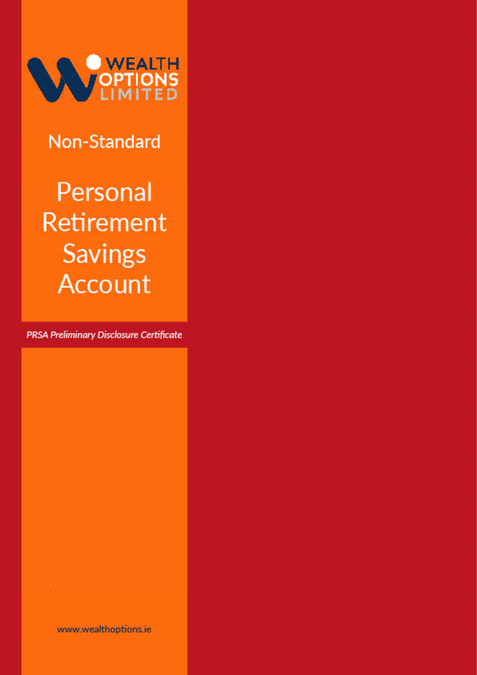

**Non-Standard** 

Personal **Retirement Savings Account** 

PRSA Preliminary Disclosure Certificate

www.wealthoptions.ie

**Contract Contract Contract**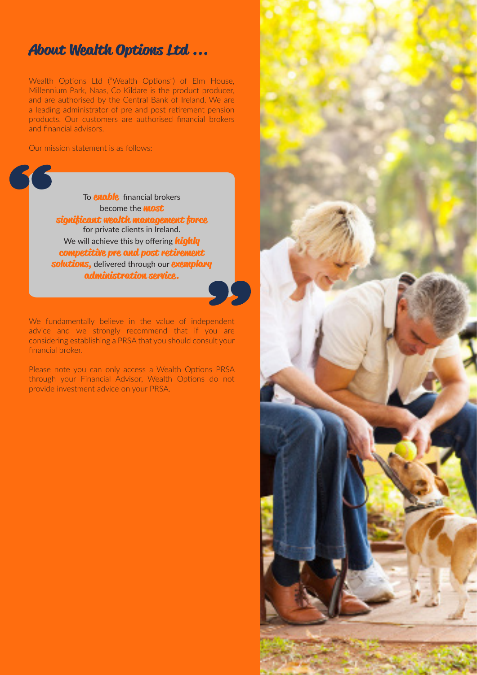### **About Wealth Options Ltd ...**

Wealth Options Ltd ("Wealth Options") of Elm House, Millennium Park, Naas, Co Kildare is the product producer, and are authorised by the Central Bank of Ireland. We are a leading administrator of pre and post retirement pension products. Our customers are authorised financial brokers and financial advisors.

Our mission statement is as follows:



To **enable** financial brokers become the **most significant wealth management force**  for private clients in Ireland. We will achieve this by offering **highly competitive pre and post retirement solutions,** delivered through our **exemplary administration service.**



We fundamentally believe in the value of independent advice and we strongly recommend that if you are considering establishing a PRSA that you should consult your financial broker.

Please note you can only access a Wealth Options PRSA through your Financial Advisor, Wealth Options do not provide investment advice on your PRSA.

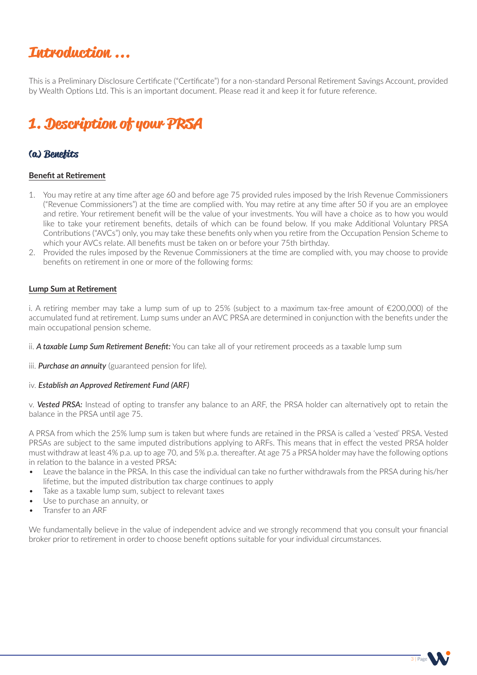## **Introduction ...**

This is a Preliminary Disclosure Certificate ("Certificate") for a non-standard Personal Retirement Savings Account, provided by Wealth Options Ltd. This is an important document. Please read it and keep it for future reference.

# **1. Description of your PRSA**

### **(a) Benefits**

#### **Benefit at Retirement**

- 1. You may retire at any time after age 60 and before age 75 provided rules imposed by the Irish Revenue Commissioners ("Revenue Commissioners") at the time are complied with. You may retire at any time after 50 if you are an employee and retire. Your retirement benefit will be the value of your investments. You will have a choice as to how you would like to take your retirement benefits, details of which can be found below. If you make Additional Voluntary PRSA Contributions ("AVCs") only, you may take these benefits only when you retire from the Occupation Pension Scheme to which your AVCs relate. All benefits must be taken on or before your 75th birthday.
- 2. Provided the rules imposed by the Revenue Commissioners at the time are complied with, you may choose to provide benefits on retirement in one or more of the following forms:

#### **Lump Sum at Retirement**

i. A retiring member may take a lump sum of up to 25% (subject to a maximum tax-free amount of €200,000) of the accumulated fund at retirement. Lump sums under an AVC PRSA are determined in conjunction with the benefits under the main occupational pension scheme.

ii. *A taxable Lump Sum Retirement Benefit:* You can take all of your retirement proceeds as a taxable lump sum

iii. *Purchase an annuity* (guaranteed pension for life).

#### iv. *Establish an Approved Retirement Fund (ARF)*

v. *Vested PRSA:* Instead of opting to transfer any balance to an ARF, the PRSA holder can alternatively opt to retain the balance in the PRSA until age 75.

A PRSA from which the 25% lump sum is taken but where funds are retained in the PRSA is called a 'vested' PRSA. Vested PRSAs are subject to the same imputed distributions applying to ARFs. This means that in effect the vested PRSA holder must withdraw at least 4% p.a. up to age 70, and 5% p.a. thereafter. At age 75 a PRSA holder may have the following options in relation to the balance in a vested PRSA:

- Leave the balance in the PRSA. In this case the individual can take no further withdrawals from the PRSA during his/her lifetime, but the imputed distribution tax charge continues to apply
- Take as a taxable lump sum, subject to relevant taxes
- Use to purchase an annuity, or
- Transfer to an ARF

We fundamentally believe in the value of independent advice and we strongly recommend that you consult your financial broker prior to retirement in order to choose benefit options suitable for your individual circumstances.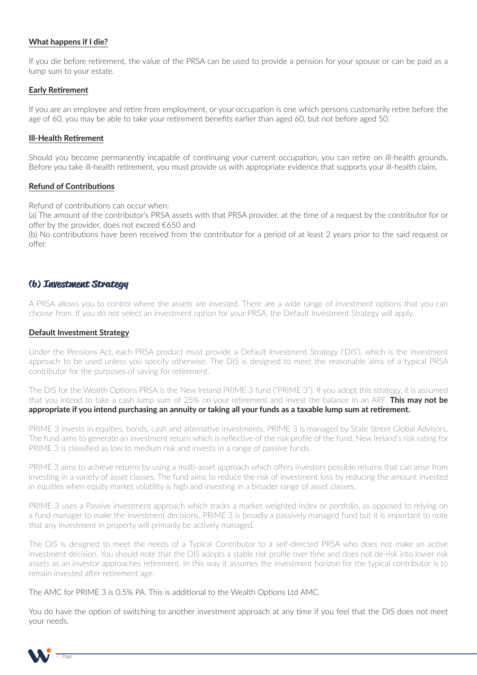#### **What happens if I die?**

If you die before retirement, the value of the PRSA can be used to provide a pension for your spouse or can be paid as a lump sum to your estate.

#### **Early Retirement**

If you are an employee and retire from employment, or your occupation is one which persons customarily retire before the age of 60, you may be able to take your retirement benefits earlier than aged 60, but not before aged 50.

#### **Ill-Health Retirement**

Should you become permanently incapable of continuing your current occupation, you can retire on ill-health grounds. Before you take ill-health retirement, you must provide us with appropriate evidence that supports your ill-health claim.

#### **Refund of Contributions**

Refund of contributions can occur when:

(a) The amount of the contributor's PRSA assets with that PRSA provider, at the time of a request by the contributor for or offer by the provider, does not exceed €650 and

(b) No contributions have been received from the contributor for a period of at least 2 years prior to the said request or offer.

#### **(b) Investment Strategy**

A PRSA allows you to control where the assets are invested. There are a wide range of investment options that you can choose from. If you do not select an investment option for your PRSA, the Default Investment Strategy will apply.

#### **Default Investment Strategy**

Under the Pensions Act, each PRSA product must provide a Default Investment Strategy ('DIS'), which is the investment approach to be used unless you specify otherwise. The DIS is designed to meet the reasonable aims of a typical PRSA contributor for the purposes of saving for retirement.

The DIS for the Wealth Options PRSA is the New Ireland PRIME 3 fund ("PRIME 3"). If you adopt this strategy, it is assumed that you intend to take a cash lump sum of 25% on your retirement and invest the balance in an ARF. **This may not be appropriate if you intend purchasing an annuity or taking all your funds as a taxable lump sum at retirement.**

PRIME 3 invests in equities, bonds, cash and alternative investments. PRIME 3 is managed by State Street Global Advisors. The fund aims to generate an investment return which is reflective of the risk profile of the fund. New Ireland's risk rating for PRIME 3 is classified as low to medium risk and invests in a range of passive funds.

PRIME 3 aims to achieve returns by using a multi-asset approach which offers investors possible returns that can arise from investing in a variety of asset classes. The fund aims to reduce the risk of investment loss by reducing the amount invested in equities when equity market volatility is high and investing in a broader range of asset classes.

PRIME 3 uses a Passive investment approach which tracks a market weighted index or portfolio, as opposed to relying on a fund manager to make the investment decisions. PRIME 3 is broadly a passively managed fund but it is important to note that any investment in property will primarily be actively managed.

The DIS is designed to meet the needs of a Typical Contributor to a self-directed PRSA who does not make an active investment decision. You should note that the DIS adopts a stable risk profile over time and does not de-risk into lower risk assets as an investor approaches retirement. In this way it assumes the investment horizon for the typical contributor is to remain invested after retirement age.

The AMC for PRIME 3 is 0.5% PA. This is additional to the Wealth Options Ltd AMC.

You do have the option of switching to another investment approach at any time if you feel that the DIS does not meet your needs.

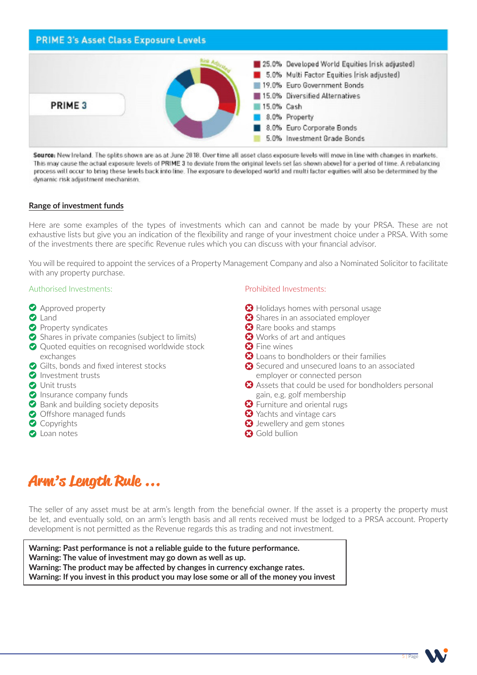### **PRIME 3's Asset Class Exposure Levels** 25.0% Developed World Equities [risk adjusted] 5.0% Multi Factor Equities (risk adjusted) 19.0% Euro Government Bonds 15.0% Diversified Alternatives PRIME<sub>3</sub> 15.0% Cash 8.0% Property 8.0% Euro Corporate Bonds 5.0% Investment Grade Bonds

Source: New Ireland. The splits shown are as at June 2018. Over time all asset class exposure levels will move in line with changes in markets. This may cause the actual exposure levels of PRIME 3 to deviate from the original levels set (as shown above) for a period of time. A rebalancing process will occur to bring these levels back into line. The exposure to developed world and multi factor equities will also be determined by the dynamic risk adjustment mechanism.

#### **Range of investment funds**

Here are some examples of the types of investments which can and cannot be made by your PRSA. These are not exhaustive lists but give you an indication of the flexibility and range of your investment choice under a PRSA. With some of the investments there are specific Revenue rules which you can discuss with your financial advisor.

You will be required to appoint the services of a Property Management Company and also a Nominated Solicitor to facilitate with any property purchase.

#### Authorised Investments:

- **Approved property**
- **Q** Land
- **Property syndicates**
- $\bullet$  Shares in private companies (subject to limits)
- ◆ Quoted equities on recognised worldwide stock exchanges
- Gilts, bonds and fixed interest stocks
- **O** Investment trusts
- **O** Unit trusts
- **O** Insurance company funds
- **◆** Bank and building society deposits
- Offshore managed funds
- Copyrights
- **O** Loan notes

#### Prohibited Investments:

- $\bigcirc$  Holidays homes with personal usage
- Shares in an associated employer
- **B** Rare books and stamps
- Works of art and antiques
- **B** Fine wines
- <sup>2</sup> Loans to bondholders or their families
- Secured and unsecured loans to an associated employer or connected person
- Assets that could be used for bondholders personal gain, e.g. golf membership
- **3** Furniture and oriental rugs
- $\bullet$  Yachts and vintage cars
- **3** Jewellery and gem stones
- **Gold bullion**

# **Arm's Length Rule ...**

The seller of any asset must be at arm's length from the beneficial owner. If the asset is a property the property must be let, and eventually sold, on an arm's length basis and all rents received must be lodged to a PRSA account. Property development is not permitted as the Revenue regards this as trading and not investment.

**Warning: Past performance is not a reliable guide to the future performance. Warning: The value of investment may go down as well as up. Warning: The product may be affected by changes in currency exchange rates. Warning: If you invest in this product you may lose some or all of the money you invest**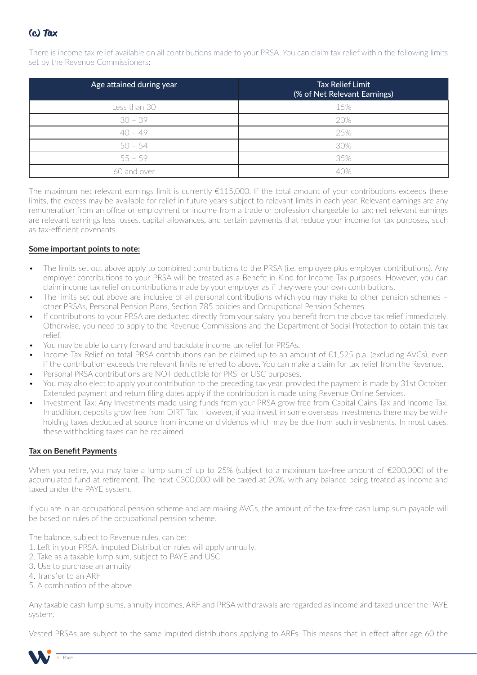

There is income tax relief available on all contributions made to your PRSA. You can claim tax relief within the following limits set by the Revenue Commissioners:

| Age attained during year | <b>Tax Relief Limit</b><br>(% of Net Relevant Earnings) |
|--------------------------|---------------------------------------------------------|
| Less than 30             | 15%                                                     |
| $30 - 39$                | 20%                                                     |
| $40 - 49$                | 25%                                                     |
| $50 - 54$                | 30%                                                     |
| $55 - 59$                | 35%                                                     |
| 60 and over              | 40%                                                     |

The maximum net relevant earnings limit is currently  $E115,000$ . If the total amount of your contributions exceeds these limits, the excess may be available for relief in future years subject to relevant limits in each year. Relevant earnings are any remuneration from an office or employment or income from a trade or profession chargeable to tax; net relevant earnings are relevant earnings less losses, capital allowances, and certain payments that reduce your income for tax purposes, such as tax-efficient covenants.

#### **Some important points to note:**

- The limits set out above apply to combined contributions to the PRSA (i.e. employee plus employer contributions). Any employer contributions to your PRSA will be treated as a Benefit in Kind for Income Tax purposes. However, you can claim income tax relief on contributions made by your employer as if they were your own contributions.
- The limits set out above are inclusive of all personal contributions which you may make to other pension schemes other PRSAs, Personal Pension Plans, Section 785 policies and Occupational Pension Schemes.
- If contributions to your PRSA are deducted directly from your salary, you benefit from the above tax relief immediately. Otherwise, you need to apply to the Revenue Commissions and the Department of Social Protection to obtain this tax relief.
- You may be able to carry forward and backdate income tax relief for PRSAs.
- Income Tax Relief on total PRSA contributions can be claimed up to an amount of €1,525 p.a. (excluding AVCs), even if the contribution exceeds the relevant limits referred to above. You can make a claim for tax relief from the Revenue.
- Personal PRSA contributions are NOT deductible for PRSI or USC purposes.
- You may also elect to apply your contribution to the preceding tax year, provided the payment is made by 31st October. Extended payment and return filing dates apply if the contribution is made using Revenue Online Services.
- Investment Tax: Any Investments made using funds from your PRSA grow free from Capital Gains Tax and Income Tax. In addition, deposits grow free from DIRT Tax. However, if you invest in some overseas investments there may be withholding taxes deducted at source from income or dividends which may be due from such investments. In most cases, these withholding taxes can be reclaimed.

#### **Tax on Benefit Payments**

When you retire, you may take a lump sum of up to 25% (subject to a maximum tax-free amount of  $\epsilon$ 200,000) of the accumulated fund at retirement. The next €300,000 will be taxed at 20%, with any balance being treated as income and taxed under the PAYE system.

If you are in an occupational pension scheme and are making AVCs, the amount of the tax-free cash lump sum payable will be based on rules of the occupational pension scheme.

The balance, subject to Revenue rules, can be:

- 1. Left in your PRSA. Imputed Distribution rules will apply annually.
- 2. Take as a taxable lump sum, subject to PAYE and USC
- 3. Use to purchase an annuity
- 4. Transfer to an ARF
- 5. A combination of the above

Any taxable cash lump sums, annuity incomes, ARF and PRSA withdrawals are regarded as income and taxed under the PAYE system.

Vested PRSAs are subject to the same imputed distributions applying to ARFs. This means that in effect after age 60 the

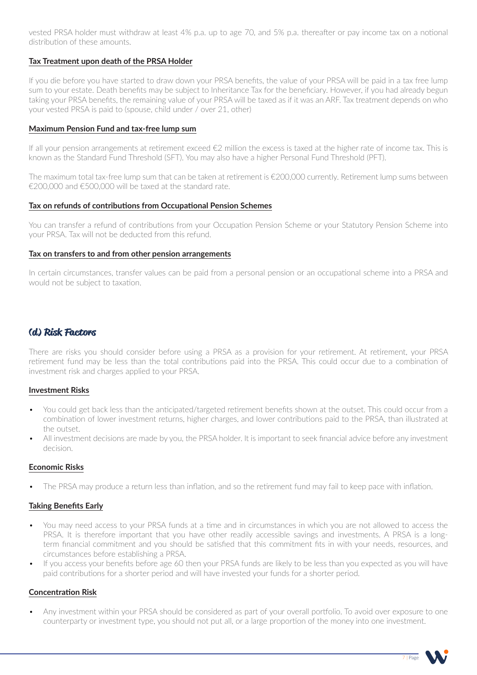vested PRSA holder must withdraw at least 4% p.a. up to age 70, and 5% p.a. thereafter or pay income tax on a notional distribution of these amounts.

#### **Tax Treatment upon death of the PRSA Holder**

If you die before you have started to draw down your PRSA benefits, the value of your PRSA will be paid in a tax free lump sum to your estate. Death benefits may be subject to Inheritance Tax for the beneficiary. However, if you had already begun taking your PRSA benefits, the remaining value of your PRSA will be taxed as if it was an ARF. Tax treatment depends on who your vested PRSA is paid to (spouse, child under / over 21, other)

#### **Maximum Pension Fund and tax-free lump sum**

If all your pension arrangements at retirement exceed  $\epsilon$ 2 million the excess is taxed at the higher rate of income tax. This is known as the Standard Fund Threshold (SFT). You may also have a higher Personal Fund Threshold (PFT).

The maximum total tax-free lump sum that can be taken at retirement is €200,000 currently. Retirement lump sums between  $\epsilon$ 200,000 and  $\epsilon$ 500,000 will be taxed at the standard rate.

#### **Tax on refunds of contributions from Occupational Pension Schemes**

You can transfer a refund of contributions from your Occupation Pension Scheme or your Statutory Pension Scheme into your PRSA. Tax will not be deducted from this refund.

#### **Tax on transfers to and from other pension arrangements**

In certain circumstances, transfer values can be paid from a personal pension or an occupational scheme into a PRSA and would not be subject to taxation.

### **(d) Risk Factors**

There are risks you should consider before using a PRSA as a provision for your retirement. At retirement, your PRSA retirement fund may be less than the total contributions paid into the PRSA. This could occur due to a combination of investment risk and charges applied to your PRSA.

#### **Investment Risks**

- You could get back less than the anticipated/targeted retirement benefits shown at the outset. This could occur from a combination of lower investment returns, higher charges, and lower contributions paid to the PRSA, than illustrated at the outset.
- All investment decisions are made by you, the PRSA holder. It is important to seek financial advice before any investment decision.

#### **Economic Risks**

The PRSA may produce a return less than inflation, and so the retirement fund may fail to keep pace with inflation.

#### **Taking Benefits Early**

- You may need access to your PRSA funds at a time and in circumstances in which you are not allowed to access the PRSA. It is therefore important that you have other readily accessible savings and investments. A PRSA is a longterm financial commitment and you should be satisfied that this commitment fits in with your needs, resources, and circumstances before establishing a PRSA.
- If you access your benefits before age 60 then your PRSA funds are likely to be less than you expected as you will have paid contributions for a shorter period and will have invested your funds for a shorter period.

#### **Concentration Risk**

• Any investment within your PRSA should be considered as part of your overall portfolio. To avoid over exposure to one counterparty or investment type, you should not put all, or a large proportion of the money into one investment.

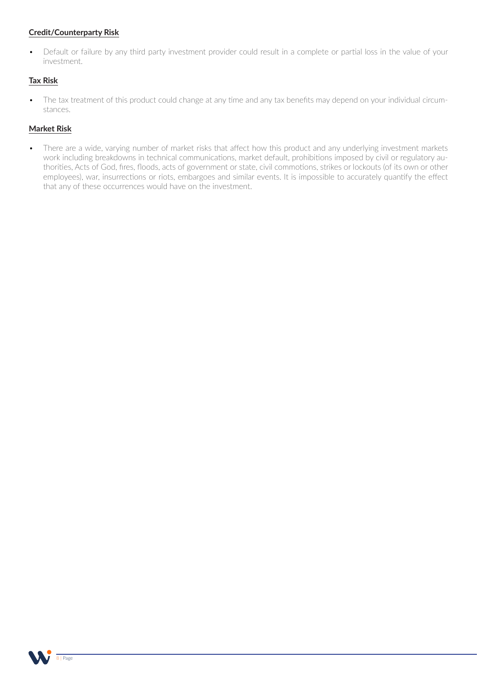#### **Credit/Counterparty Risk**

• Default or failure by any third party investment provider could result in a complete or partial loss in the value of your investment.

#### **Tax Risk**

• The tax treatment of this product could change at any time and any tax benefits may depend on your individual circumstances.

#### **Market Risk**

• There are a wide, varying number of market risks that affect how this product and any underlying investment markets work including breakdowns in technical communications, market default, prohibitions imposed by civil or regulatory authorities, Acts of God, fires, floods, acts of government or state, civil commotions, strikes or lockouts (of its own or other employees), war, insurrections or riots, embargoes and similar events. It is impossible to accurately quantify the effect that any of these occurrences would have on the investment.

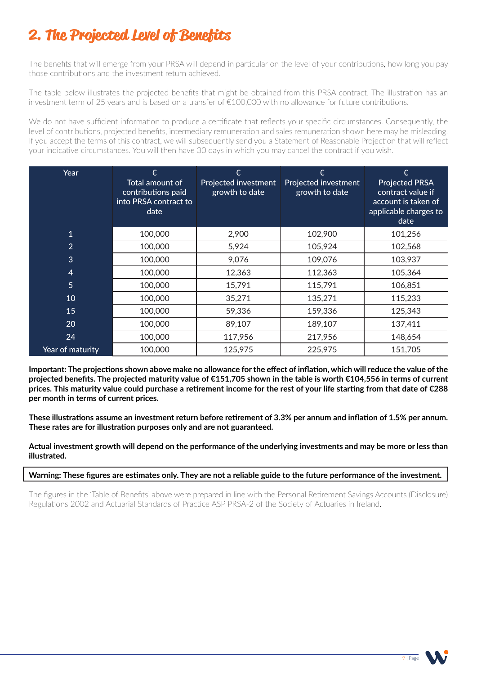# **2. The Projected Level of Benefits**

The benefits that will emerge from your PRSA will depend in particular on the level of your contributions, how long you pay those contributions and the investment return achieved.

The table below illustrates the projected benefits that might be obtained from this PRSA contract. The illustration has an investment term of 25 years and is based on a transfer of €100,000 with no allowance for future contributions.

We do not have sufficient information to produce a certificate that reflects your specific circumstances. Consequently, the level of contributions, projected benefits, intermediary remuneration and sales remuneration shown here may be misleading. If you accept the terms of this contract, we will subsequently send you a Statement of Reasonable Projection that will reflect your indicative circumstances. You will then have 30 days in which you may cancel the contract if you wish.

| Year             | €<br>Total amount of<br>contributions paid<br>into PRSA contract to<br>date | €<br>Projected investment<br>growth to date | €<br>Projected investment<br>growth to date | €<br><b>Projected PRSA</b><br>contract value if<br>account is taken of<br>applicable charges to<br>date |
|------------------|-----------------------------------------------------------------------------|---------------------------------------------|---------------------------------------------|---------------------------------------------------------------------------------------------------------|
| $\overline{1}$   | 100,000                                                                     | 2,900                                       | 102,900                                     | 101,256                                                                                                 |
| $\overline{2}$   | 100,000                                                                     | 5,924                                       | 105,924                                     | 102,568                                                                                                 |
| 3                | 100,000                                                                     | 9,076                                       | 109,076                                     | 103,937                                                                                                 |
| $\overline{4}$   | 100,000                                                                     | 12,363                                      | 112,363                                     | 105,364                                                                                                 |
| $\overline{5}$   | 100,000                                                                     | 15,791                                      | 115,791                                     | 106,851                                                                                                 |
| 10               | 100,000                                                                     | 35,271                                      | 135,271                                     | 115,233                                                                                                 |
| 15               | 100,000                                                                     | 59,336                                      | 159,336                                     | 125,343                                                                                                 |
| 20               | 100,000                                                                     | 89,107                                      | 189,107                                     | 137,411                                                                                                 |
| 24               | 100,000                                                                     | 117,956                                     | 217,956                                     | 148,654                                                                                                 |
| Year of maturity | 100,000                                                                     | 125,975                                     | 225,975                                     | 151,705                                                                                                 |

**Important: The projections shown above make no allowance for the effect of inflation, which will reduce the value of the projected benefits. The projected maturity value of €151,705 shown in the table is worth €104,556 in terms of current prices. This maturity value could purchase a retirement income for the rest of your life starting from that date of €288 per month in terms of current prices.**

**These illustrations assume an investment return before retirement of 3.3% per annum and inflation of 1.5% per annum. These rates are for illustration purposes only and are not guaranteed.**

**Actual investment growth will depend on the performance of the underlying investments and may be more or less than illustrated.**

**Warning: These figures are estimates only. They are not a reliable guide to the future performance of the investment.** 

The figures in the 'Table of Benefits' above were prepared in line with the Personal Retirement Savings Accounts (Disclosure) Regulations 2002 and Actuarial Standards of Practice ASP PRSA-2 of the Society of Actuaries in Ireland.

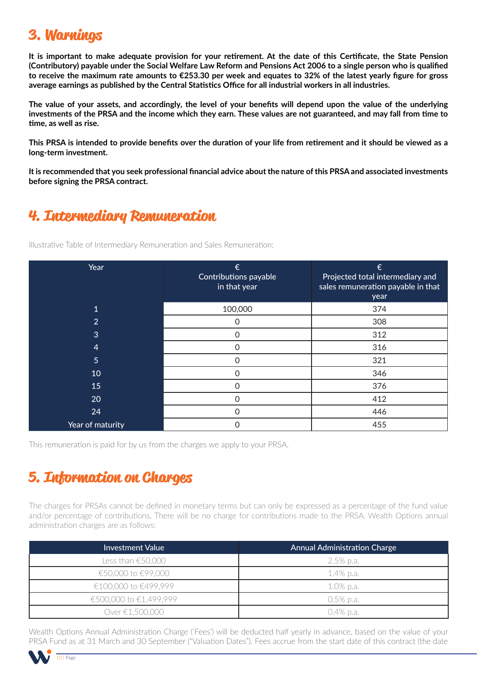## **3. Warnings**

**It is important to make adequate provision for your retirement. At the date of this Certificate, the State Pension (Contributory) payable under the Social Welfare Law Reform and Pensions Act 2006 to a single person who is qualified to receive the maximum rate amounts to €253.30 per week and equates to 32% of the latest yearly figure for gross average earnings as published by the Central Statistics Office for all industrial workers in all industries.**

**The value of your assets, and accordingly, the level of your benefits will depend upon the value of the underlying investments of the PRSA and the income which they earn. These values are not guaranteed, and may fall from time to time, as well as rise.**

**This PRSA is intended to provide benefits over the duration of your life from retirement and it should be viewed as a long-term investment.**

**It is recommended that you seek professional financial advice about the nature of this PRSA and associated investments before signing the PRSA contract.**

## **4. Intermediary Remuneration**

Illustrative Table of Intermediary Remuneration and Sales Remuneration:

| Year             | €<br>Contributions payable<br>in that year | €<br>Projected total intermediary and<br>sales remuneration payable in that<br>year |
|------------------|--------------------------------------------|-------------------------------------------------------------------------------------|
| $\mathbf 1$      | 100,000                                    | 374                                                                                 |
| $\overline{2}$   | Ω                                          | 308                                                                                 |
| 3                | 0                                          | 312                                                                                 |
| $\overline{4}$   | 0                                          | 316                                                                                 |
| 5                | ი                                          | 321                                                                                 |
| 10               | Ω                                          | 346                                                                                 |
| 15               | Ω                                          | 376                                                                                 |
| 20               | ი                                          | 412                                                                                 |
| 24               | O                                          | 446                                                                                 |
| Year of maturity |                                            | 455                                                                                 |

This remuneration is paid for by us from the charges we apply to your PRSA.

## **5. Information on Charges**

The charges for PRSAs cannot be defined in monetary terms but can only be expressed as a percentage of the fund value and/or percentage of contributions. There will be no charge for contributions made to the PRSA. Wealth Options annual administration charges are as follows:

| Investment Value             | <b>Annual Administration Charge</b> |
|------------------------------|-------------------------------------|
| Less than €50,000 $^{\circ}$ | -2.5% p.a.                          |
| €50,000 to €99,000           | 1.4% p.a.                           |
| €100,000 to €499,999         | 1.0% p.a.                           |
| €500,000 to €1,499,999       | $0.5\%$ p.a.                        |
| Over €1.500.000              | 0.4% p.a.                           |

Wealth Options Annual Administration Charge ('Fees') will be deducted half yearly in advance, based on the value of your PRSA Fund as at 31 March and 30 September ("Valuation Dates"). Fees accrue from the start date of this contract (the date

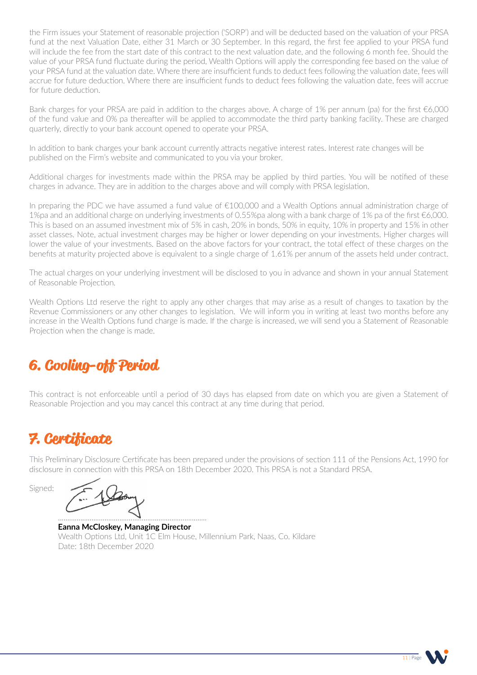the Firm issues your Statement of reasonable projection ('SORP') and will be deducted based on the valuation of your PRSA fund at the next Valuation Date, either 31 March or 30 September. In this regard, the first fee applied to your PRSA fund will include the fee from the start date of this contract to the next valuation date, and the following 6 month fee. Should the value of your PRSA fund fluctuate during the period, Wealth Options will apply the corresponding fee based on the value of your PRSA fund at the valuation date. Where there are insufficient funds to deduct fees following the valuation date, fees will accrue for future deduction. Where there are insufficient funds to deduct fees following the valuation date, fees will accrue for future deduction.

Bank charges for your PRSA are paid in addition to the charges above. A charge of 1% per annum (pa) for the first €6,000 of the fund value and 0% pa thereafter will be applied to accommodate the third party banking facility. These are charged quarterly, directly to your bank account opened to operate your PRSA.

In addition to bank charges your bank account currently attracts negative interest rates. Interest rate changes will be published on the Firm's website and communicated to you via your broker.

Additional charges for investments made within the PRSA may be applied by third parties. You will be notified of these charges in advance. They are in addition to the charges above and will comply with PRSA legislation.

In preparing the PDC we have assumed a fund value of €100,000 and a Wealth Options annual administration charge of 1%pa and an additional charge on underlying investments of 0.55%pa along with a bank charge of 1% pa of the first €6,000. This is based on an assumed investment mix of 5% in cash, 20% in bonds, 50% in equity, 10% in property and 15% in other asset classes. Note, actual investment charges may be higher or lower depending on your investments. Higher charges will lower the value of your investments. Based on the above factors for your contract, the total effect of these charges on the benefits at maturity projected above is equivalent to a single charge of 1.61% per annum of the assets held under contract.

The actual charges on your underlying investment will be disclosed to you in advance and shown in your annual Statement of Reasonable Projection.

Wealth Options Ltd reserve the right to apply any other charges that may arise as a result of changes to taxation by the Revenue Commissioners or any other changes to legislation. We will inform you in writing at least two months before any increase in the Wealth Options fund charge is made. If the charge is increased, we will send you a Statement of Reasonable Projection when the change is made.

# **6. Cooling-off Period**

This contract is not enforceable until a period of 30 days has elapsed from date on which you are given a Statement of Reasonable Projection and you may cancel this contract at any time during that period.

# **7. Certificate**

This Preliminary Disclosure Certificate has been prepared under the provisions of section 111 of the Pensions Act, 1990 for disclosure in connection with this PRSA on 18th December 2020. This PRSA is not a Standard PRSA.

Signed:

................................................................................

**Eanna McCloskey, Managing Director** Wealth Options Ltd, Unit 1C Elm House, Millennium Park, Naas, Co. Kildare Date: 18th December 2020